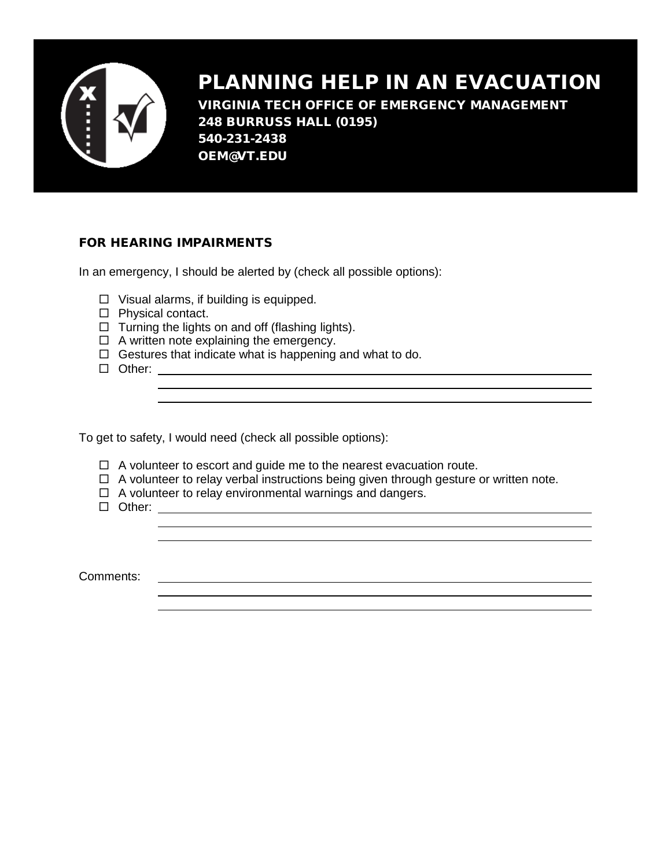

## PLANNING HELP IN AN EVACUATION

VIRGINIA TECH OFFICE OF EMERGENCY MANAGEMENT 248 BURRUSS HALL (0195) 540-231-2438 OEM@VT.EDU

## FOR HEARING IMPAIRMENTS

In an emergency, I should be alerted by (check all possible options):

- $\Box$  Visual alarms, if building is equipped.
- $\Box$  Physical contact.
- $\Box$  Turning the lights on and off (flashing lights).
- $\Box$  A written note explaining the emergency.
- $\Box$  Gestures that indicate what is happening and what to do. Other:

To get to safety, I would need (check all possible options):

- $\Box$  A volunteer to escort and guide me to the nearest evacuation route.
- $\Box$  A volunteer to relay verbal instructions being given through gesture or written note.

 $\Box$  A volunteer to relay environmental warnings and dangers.

Other:

Comments: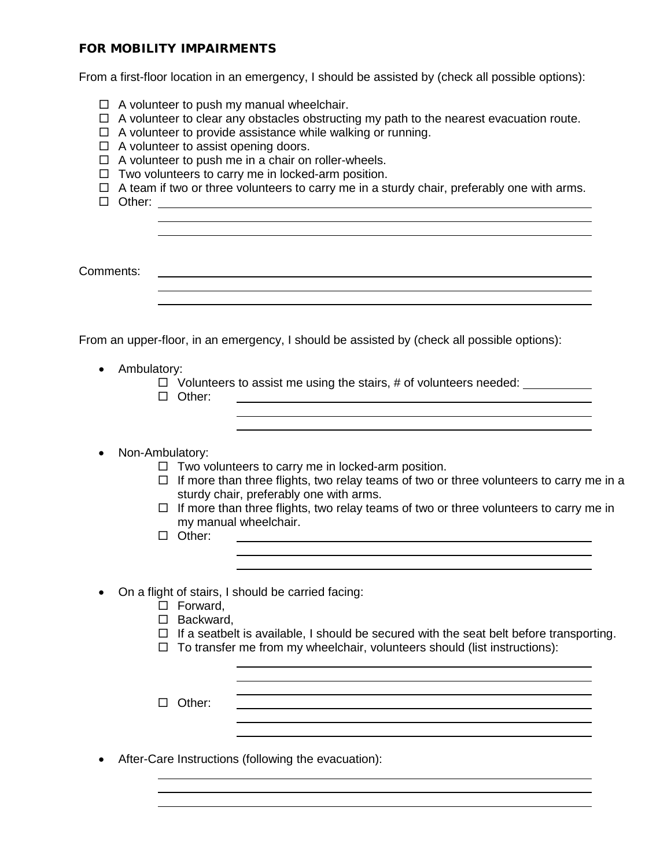## FOR MOBILITY IMPAIRMENTS

From a first-floor location in an emergency, I should be assisted by (check all possible options):

- $\Box$  A volunteer to push my manual wheelchair.
- $\Box$  A volunteer to clear any obstacles obstructing my path to the nearest evacuation route.
- $\Box$  A volunteer to provide assistance while walking or running.
- $\Box$  A volunteer to assist opening doors.
- $\Box$  A volunteer to push me in a chair on roller-wheels.
- $\Box$  Two volunteers to carry me in locked-arm position.
- $\Box$  A team if two or three volunteers to carry me in a sturdy chair, preferably one with arms.
- □ Other:

Comments:

From an upper-floor, in an emergency, I should be assisted by (check all possible options):

- Ambulatory:
	- $\Box$  Volunteers to assist me using the stairs, # of volunteers needed:
	- □ Other:

• Non-Ambulatory:

- $\Box$  Two volunteers to carry me in locked-arm position.
- $\Box$  If more than three flights, two relay teams of two or three volunteers to carry me in a sturdy chair, preferably one with arms.

<u> 1989 - Johann Stein, marwolaethau a bhann an t-Amhair ann an t-Amhair an t-Amhair an t-Amhair an t-Amhair an</u>

- $\Box$  If more than three flights, two relay teams of two or three volunteers to carry me in my manual wheelchair.
- □ Other:
- On a flight of stairs, I should be carried facing:
	- □ Forward,
	- □ Backward,
	- $\Box$  If a seatbelt is available, I should be secured with the seat belt before transporting.

 $\Box$  To transfer me from my wheelchair, volunteers should (list instructions):

Other:

• After-Care Instructions (following the evacuation):